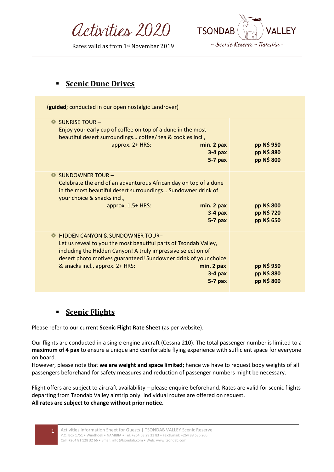Activities 2020

Rates valid as from 1st November 2019



## **Scenic Dune Drives**

| (guided; conducted in our open nostalgic Landrover)                                                                                                                                                                                                                                                                          |                                        |
|------------------------------------------------------------------------------------------------------------------------------------------------------------------------------------------------------------------------------------------------------------------------------------------------------------------------------|----------------------------------------|
| $\bullet$ SUNRISE TOUR -<br>Enjoy your early cup of coffee on top of a dune in the most<br>beautiful desert surroundings coffee/ tea & cookies incl.,<br>approx. 2+ HRS:<br>min. 2 pax<br>$3-4$ pax<br>$5-7$ pax                                                                                                             | pp N\$ 950<br>pp N\$ 880<br>pp N\$ 800 |
| $SUNDOWNER$ TOUR $-$<br>Celebrate the end of an adventurous African day on top of a dune<br>in the most beautiful desert surroundings Sundowner drink of<br>your choice & snacks incl.,<br>min. 2 pax<br>approx. 1.5+ HRS:<br>$3-4$ pax<br>$5-7$ pax                                                                         | pp N\$ 800<br>pp N\$ 720<br>pp N\$ 650 |
| <b>HIDDEN CANYON &amp; SUNDOWNER TOUR-</b><br>Let us reveal to you the most beautiful parts of Tsondab Valley,<br>including the Hidden Canyon! A truly impressive selection of<br>desert photo motives guaranteed! Sundowner drink of your choice<br>& snacks incl., approx. 2+ HRS:<br>min. 2 pax<br>$3-4$ pax<br>$5-7$ pax | pp N\$ 950<br>pp N\$ 880<br>pp N\$ 800 |

## ▪ **Scenic Flights**

Please refer to our current **Scenic Flight Rate Sheet** (as per website).

Our flights are conducted in a single engine aircraft (Cessna 210). The total passenger number is limited to a **maximum of 4 pax** to ensure a unique and comfortable flying experience with sufficient space for everyone on board.

However, please note that **we are weight and space limited**; hence we have to request body weights of all passengers beforehand for safety measures and reduction of passenger numbers might be necessary.

Flight offers are subject to aircraft availability – please enquire beforehand. Rates are valid for scenic flights departing from Tsondab Valley airstrip only. Individual routes are offered on request. **All rates are subject to change without prior notice.**